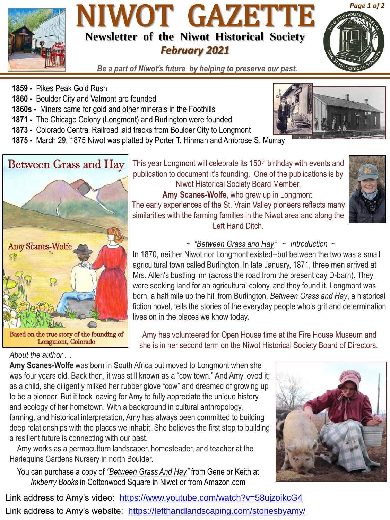

## NIWOT GAZETTE **Newsletter of the Niwot Historical Society** *February 2021*



*Be a part of Niwot's future by helping to preserve our past.*

- **1859 -** Pikes Peak Gold Rush
- **1860 -** Boulder City and Valmont are founded
- **1860s -** Miners came for gold and other minerals in the Foothills
- **1871 -** The Chicago Colony (Longmont) and Burlington were founded
- **1873 -** Colorado Central Railroad laid tracks from Boulder City to Longmont
- **1875 -** March 29, 1875 Niwot was platted by Porter T. Hinman and Ambrose S. Murray



#### *About the author …*

Niwot Historical Society Board Member, **Amy Scanes-Wolfe**, who grew up in Longmont. The early experiences of the St. Vrain Valley pioneers reflects many similarities with the farming families in the Niwot area and along the Left Hand Ditch.



#### *~ "Between Grass and Hay" ~ Introduction ~*

In 1870, neither Niwot nor Longmont existed--but between the two was a small agricultural town called Burlington. In late January, 1871, three men arrived at Mrs. Allen's bustling inn (across the road from the present day D-barn). They were seeking land for an agricultural colony, and they found it. Longmont was born, a half mile up the hill from Burlington. *Between Grass and Hay*, a historical fiction novel, tells the stories of the everyday people who's grit and determination lives on in the places we know today.

Amy has volunteered for Open House time at the Fire House Museum and she is in her second term on the Niwot Historical Society Board of Directors.

**Amy Scanes-Wolfe** was born in South Africa but moved to Longmont when she was four years old. Back then, it was still known as a "cow town." And Amy loved it; as a child, she diligently milked her rubber glove "cow" and dreamed of growing up to be a pioneer. But it took leaving for Amy to fully appreciate the unique history and ecology of her hometown. With a background in cultural anthropology, farming, and historical interpretation, Amy has always been committed to building deep relationships with the places we inhabit. She believes the first step to building a resilient future is connecting with our past.

Amy works as a permaculture landscaper, homesteader, and teacher at the Harlequins Gardens Nursery in north Boulder.

You can purchase a copy of *"Between Grass And Hay"* from Gene or Keith at *Inkberry Books* in Cottonwood Square in Niwot or from Amazon.com

Link address to Amy's website: <https://lefthandlandscaping.com/storiesbyamy/> Link address to Amy's video: <https://www.youtube.com/watch?v=58ujzoikcG4>